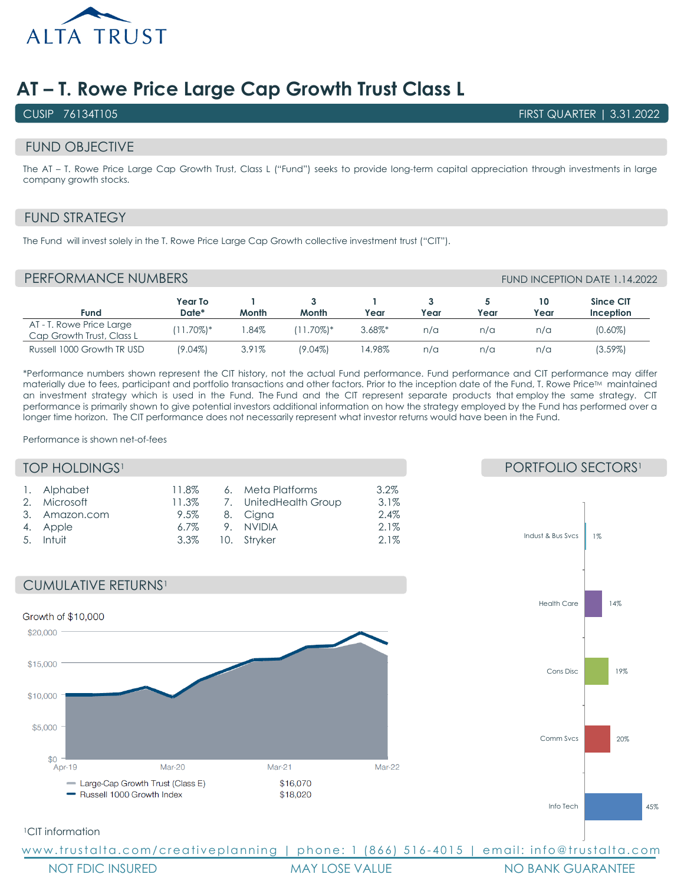

# **AT – T. Rowe Price Large Cap Growth Trust Class L**

CUSIP 76134T105 FIRST QUARTER | 3.31.2022

#### FUND OBJECTIVE

The AT – T. Rowe Price Large Cap Growth Trust, Class L ("Fund") seeks to provide long-term capital appreciation through investments in large company growth stocks.

# FUND STRATEGY

The Fund will invest solely in the T. Rowe Price Large Cap Growth collective investment trust ("CIT").

## PERFORMANCE NUMBERS FUND INCEPTION DATE 1.14.2022

| Fund                                                  | Year To<br>Date* | Month | Month        | Year       | Year | Year | 10<br>Year | Since CIT<br><b>Inception</b> |
|-------------------------------------------------------|------------------|-------|--------------|------------|------|------|------------|-------------------------------|
| AT - T. Rowe Price Large<br>Cap Growth Trust, Class L | $(11.70\%)*$     | .84%  | $(11.70\%)*$ | $3.68\%$ * | n/a  | n/a  | n/a        | $(0.60\%)$                    |
| Russell 1000 Growth TR USD                            | (9.04%)          | 3.91% | $(9.04\%)$   | 14.98%     | n/a  | n/a  | n/a        | $(3.59\%)$                    |

\*Performance numbers shown represent the CIT history, not the actual Fund performance. Fund performance and CIT performance may differ materially due to fees, participant and portfolio transactions and other factors. Prior to the inception date of the Fund, T. Rowe Price™ maintained an investment strategy which is used in the Fund. The Fund and the CIT represent separate products that employ the same strategy. CIT performance is primarily shown to give potential investors additional information on how the strategy employed by the Fund has performed over a longer time horizon. The CIT performance does not necessarily represent what investor returns would have been in the Fund.

Performance is shown net-of-fees

#### **TOP HOLDINGS<sup>1</sup>**

| 1. Alphabet<br>2. Microsoft<br>3. Amazon.com<br>4. Apple<br>5. Intuit | 11.8%<br>6.7% |  | 6. Meta Platforms<br>11.3% 7. UnitedHealth Group<br>9.5% 8. Cigna<br>9. NVIDIA<br>3.3% 10. Stryker | $3.2\%$<br>3.1%<br>2.4%<br>2.1%<br>2.1% |
|-----------------------------------------------------------------------|---------------|--|----------------------------------------------------------------------------------------------------|-----------------------------------------|
|-----------------------------------------------------------------------|---------------|--|----------------------------------------------------------------------------------------------------|-----------------------------------------|





#### 1CIT information

www.trustalta.com/creativeplanning | phone: 1 (866) 516 - 4015 | email: info@trustalta.com

NOT FDIC INSURED THE MAY LOSE VALUE THE MO BANK GUARANTEE

### PORTFOLIO SECTORS<sup>1</sup>